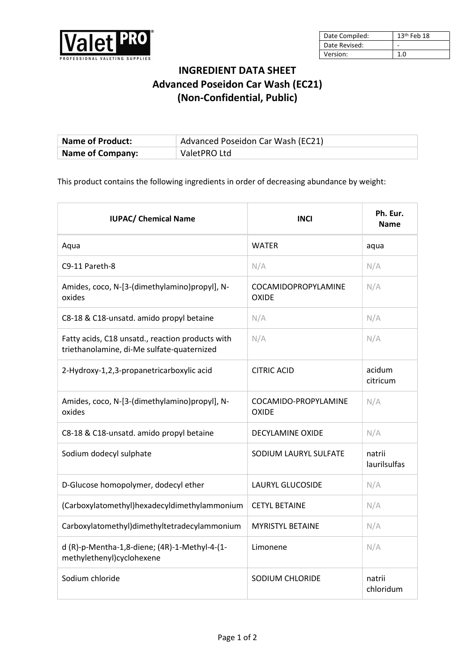

| Date Compiled: | $13th$ Feb 18 |
|----------------|---------------|
| Date Revised:  |               |
| Version:       | 1.0           |

## INGREDIENT DATA SHEET Advanced Poseidon Car Wash (EC21) (Non-Confidential, Public)

| <b>Name of Product:</b> | Advanced Poseidon Car Wash (EC21) |
|-------------------------|-----------------------------------|
| <b>Name of Company:</b> | ValetPRO Ltd                      |

This product contains the following ingredients in order of decreasing abundance by weight:

| <b>IUPAC/ Chemical Name</b>                                                                    | <b>INCI</b>                          | Ph. Eur.<br><b>Name</b> |
|------------------------------------------------------------------------------------------------|--------------------------------------|-------------------------|
| Aqua                                                                                           | <b>WATER</b>                         | aqua                    |
| C9-11 Pareth-8                                                                                 | N/A                                  | N/A                     |
| Amides, coco, N-[3-(dimethylamino)propyl], N-<br>oxides                                        | COCAMIDOPROPYLAMINE<br>OXIDE         | N/A                     |
| C8-18 & C18-unsatd. amido propyl betaine                                                       | N/A                                  | N/A                     |
| Fatty acids, C18 unsatd., reaction products with<br>triethanolamine, di-Me sulfate-quaternized | N/A                                  | N/A                     |
| 2-Hydroxy-1,2,3-propanetricarboxylic acid                                                      | <b>CITRIC ACID</b>                   | acidum<br>citricum      |
| Amides, coco, N-[3-(dimethylamino)propyl], N-<br>oxides                                        | COCAMIDO-PROPYLAMINE<br><b>OXIDE</b> | N/A                     |
| C8-18 & C18-unsatd. amido propyl betaine                                                       | DECYLAMINE OXIDE                     | N/A                     |
| Sodium dodecyl sulphate                                                                        | SODIUM LAURYL SULFATE                | natrii<br>laurilsulfas  |
| D-Glucose homopolymer, dodecyl ether                                                           | <b>LAURYL GLUCOSIDE</b>              | N/A                     |
| (Carboxylatomethyl)hexadecyldimethylammonium                                                   | <b>CETYL BETAINE</b>                 | N/A                     |
| Carboxylatomethyl)dimethyltetradecylammonium                                                   | <b>MYRISTYL BETAINE</b>              | N/A                     |
| d (R)-p-Mentha-1,8-diene; (4R)-1-Methyl-4-(1-<br>methylethenyl)cyclohexene                     | Limonene                             | N/A                     |
| Sodium chloride                                                                                | SODIUM CHLORIDE                      | natrii<br>chloridum     |